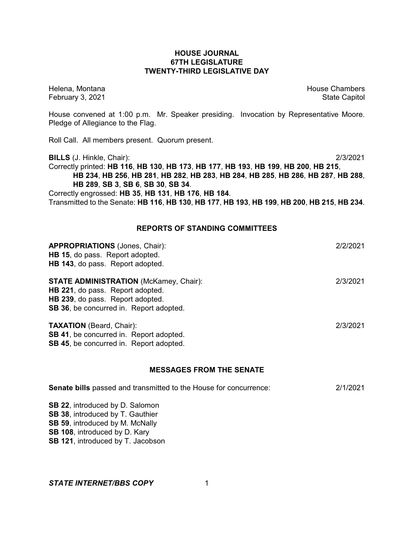## **HOUSE JOURNAL 67TH LEGISLATURE TWENTY-THIRD LEGISLATIVE DAY**

Helena, Montana House Chambers Chambers Chambers and House Chambers Chambers Chambers Chambers and House Chambers and House Chambers and House Chambers and House Chambers and House Chambers and House Chambers and House Cha February 3, 2021 **State Capitol** 

House convened at 1:00 p.m. Mr. Speaker presiding. Invocation by Representative Moore. Pledge of Allegiance to the Flag.

Roll Call. All members present. Quorum present.

**BILLS** (J. Hinkle, Chair): 2/3/2021 Correctly printed: **HB 116**, **HB 130**, **HB 173**, **HB 177**, **HB 193**, **HB 199**, **HB 200**, **HB 215**, **HB 234**, **HB 256**, **HB 281**, **HB 282**, **HB 283**, **HB 284**, **HB 285**, **HB 286**, **HB 287**, **HB 288**, **HB 289**, **SB 3**, **SB 6**, **SB 30**, **SB 34**. Correctly engrossed: **HB 35**, **HB 131**, **HB 176**, **HB 184**.

Transmitted to the Senate: **HB 116**, **HB 130**, **HB 177**, **HB 193**, **HB 199**, **HB 200**, **HB 215**, **HB 234**.

## **REPORTS OF STANDING COMMITTEES**

| <b>STATE ADMINISTRATION (McKamey, Chair):</b>                        | 2/3/2021 |
|----------------------------------------------------------------------|----------|
| HB 221, do pass. Report adopted.<br>HB 239, do pass. Report adopted. |          |
| <b>SB 36, be concurred in. Report adopted.</b>                       |          |
| <b>TAXATION</b> (Beard, Chair):                                      | 2/3/2021 |
| SB 41, be concurred in. Report adopted.                              |          |

#### **MESSAGES FROM THE SENATE**

| <b>Senate bills</b> passed and transmitted to the House for concurrence: | 2/1/2021 |
|--------------------------------------------------------------------------|----------|
| <b>SB 22.</b> introduced by D. Salomon                                   |          |
| <b>SB 38, introduced by T. Gauthier</b>                                  |          |
| <b>SB 59, introduced by M. McNally</b>                                   |          |
| <b>SB 108, introduced by D. Kary</b>                                     |          |
| <b>SB 121, introduced by T. Jacobson</b>                                 |          |
|                                                                          |          |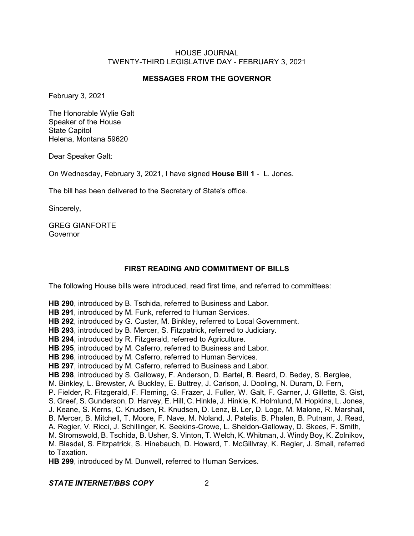## **MESSAGES FROM THE GOVERNOR**

February 3, 2021

The Honorable Wylie Galt Speaker of the House State Capitol Helena, Montana 59620

Dear Speaker Galt:

On Wednesday, February 3, 2021, I have signed **House Bill 1** - L. Jones.

The bill has been delivered to the Secretary of State's office.

Sincerely,

GREG GIANFORTE Governor

## **FIRST READING AND COMMITMENT OF BILLS**

The following House bills were introduced, read first time, and referred to committees:

**HB 290**, introduced by B. Tschida, referred to Business and Labor.

**HB 291**, introduced by M. Funk, referred to Human Services.

**HB 292**, introduced by G. Custer, M. Binkley, referred to Local Government.

**HB 293**, introduced by B. Mercer, S. Fitzpatrick, referred to Judiciary.

**HB 294**, introduced by R. Fitzgerald, referred to Agriculture.

**HB 295**, introduced by M. Caferro, referred to Business and Labor.

**HB 296**, introduced by M. Caferro, referred to Human Services.

**HB 297**, introduced by M. Caferro, referred to Business and Labor.

**HB 298**, introduced by S. Galloway, F. Anderson, D. Bartel, B. Beard, D. Bedey, S. Berglee,

M. Binkley, L. Brewster, A. Buckley, E. Buttrey, J. Carlson, J. Dooling, N. Duram, D. Fern,

P. Fielder, R. Fitzgerald, F. Fleming, G. Frazer, J. Fuller, W. Galt, F. Garner, J. Gillette, S. Gist,

S. Greef, S. Gunderson, D. Harvey, E. Hill, C. Hinkle, J. Hinkle, K. Holmlund, M. Hopkins, L. Jones,

J. Keane, S. Kerns, C. Knudsen, R. Knudsen, D. Lenz, B. Ler, D. Loge, M. Malone, R. Marshall,

B. Mercer, B. Mitchell, T. Moore, F. Nave, M. Noland, J. Patelis, B. Phalen, B. Putnam, J. Read,

A. Regier, V. Ricci, J. Schillinger, K. Seekins-Crowe, L. Sheldon-Galloway, D. Skees, F. Smith,

M. Stromswold, B. Tschida, B. Usher, S. Vinton, T. Welch, K. Whitman, J. Windy Boy, K. Zolnikov, M. Blasdel, S. Fitzpatrick, S. Hinebauch, D. Howard, T. McGillvray, K. Regier, J. Small, referred to Taxation.

**HB 299**, introduced by M. Dunwell, referred to Human Services.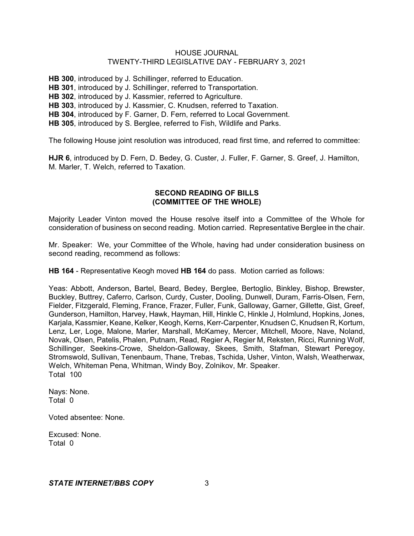**HB 300**, introduced by J. Schillinger, referred to Education. **HB 301**, introduced by J. Schillinger, referred to Transportation. **HB 302**, introduced by J. Kassmier, referred to Agriculture. **HB 303**, introduced by J. Kassmier, C. Knudsen, referred to Taxation. **HB 304**, introduced by F. Garner, D. Fern, referred to Local Government. **HB 305**, introduced by S. Berglee, referred to Fish, Wildlife and Parks.

The following House joint resolution was introduced, read first time, and referred to committee:

**HJR 6**, introduced by D. Fern, D. Bedey, G. Custer, J. Fuller, F. Garner, S. Greef, J. Hamilton, M. Marler, T. Welch, referred to Taxation.

## **SECOND READING OF BILLS (COMMITTEE OF THE WHOLE)**

Majority Leader Vinton moved the House resolve itself into a Committee of the Whole for consideration of business on second reading. Motion carried. Representative Berglee in the chair.

Mr. Speaker: We, your Committee of the Whole, having had under consideration business on second reading, recommend as follows:

**HB 164** - Representative Keogh moved **HB 164** do pass. Motion carried as follows:

Yeas: Abbott, Anderson, Bartel, Beard, Bedey, Berglee, Bertoglio, Binkley, Bishop, Brewster, Buckley, Buttrey, Caferro, Carlson, Curdy, Custer, Dooling, Dunwell, Duram, Farris-Olsen, Fern, Fielder, Fitzgerald, Fleming, France, Frazer, Fuller, Funk, Galloway, Garner, Gillette, Gist, Greef, Gunderson, Hamilton, Harvey, Hawk, Hayman, Hill, Hinkle C, Hinkle J, Holmlund, Hopkins, Jones, Karjala, Kassmier, Keane, Kelker, Keogh, Kerns, Kerr-Carpenter, Knudsen C, Knudsen R, Kortum, Lenz, Ler, Loge, Malone, Marler, Marshall, McKamey, Mercer, Mitchell, Moore, Nave, Noland, Novak, Olsen, Patelis, Phalen, Putnam, Read, Regier A, Regier M, Reksten, Ricci, Running Wolf, Schillinger, Seekins-Crowe, Sheldon-Galloway, Skees, Smith, Stafman, Stewart Peregoy, Stromswold, Sullivan, Tenenbaum, Thane, Trebas, Tschida, Usher, Vinton, Walsh, Weatherwax, Welch, Whiteman Pena, Whitman, Windy Boy, Zolnikov, Mr. Speaker. Total 100

Nays: None. Total 0

Voted absentee: None.

Excused: None. Total 0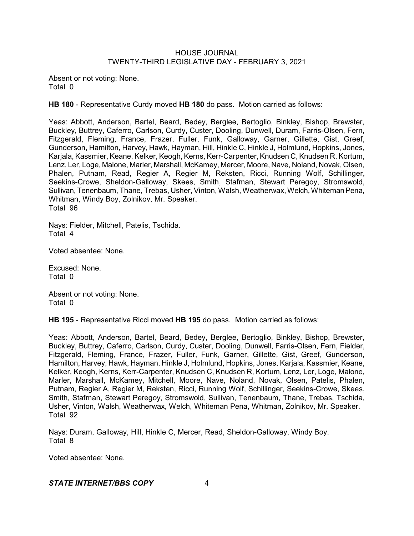Absent or not voting: None. Total 0

**HB 180** - Representative Curdy moved **HB 180** do pass. Motion carried as follows:

Yeas: Abbott, Anderson, Bartel, Beard, Bedey, Berglee, Bertoglio, Binkley, Bishop, Brewster, Buckley, Buttrey, Caferro, Carlson, Curdy, Custer, Dooling, Dunwell, Duram, Farris-Olsen, Fern, Fitzgerald, Fleming, France, Frazer, Fuller, Funk, Galloway, Garner, Gillette, Gist, Greef, Gunderson, Hamilton, Harvey, Hawk, Hayman, Hill, Hinkle C, Hinkle J, Holmlund, Hopkins, Jones, Karjala, Kassmier, Keane, Kelker, Keogh, Kerns, Kerr-Carpenter, Knudsen C, Knudsen R, Kortum, Lenz, Ler, Loge, Malone, Marler, Marshall, McKamey, Mercer, Moore, Nave, Noland, Novak, Olsen, Phalen, Putnam, Read, Regier A, Regier M, Reksten, Ricci, Running Wolf, Schillinger, Seekins-Crowe, Sheldon-Galloway, Skees, Smith, Stafman, Stewart Peregoy, Stromswold, Sullivan, Tenenbaum, Thane, Trebas, Usher, Vinton, Walsh, Weatherwax,Welch, WhitemanPena, Whitman, Windy Boy, Zolnikov, Mr. Speaker. Total 96

Nays: Fielder, Mitchell, Patelis, Tschida. Total 4

Voted absentee: None.

Excused: None. Total 0

Absent or not voting: None. Total 0

**HB 195** - Representative Ricci moved **HB 195** do pass. Motion carried as follows:

Yeas: Abbott, Anderson, Bartel, Beard, Bedey, Berglee, Bertoglio, Binkley, Bishop, Brewster, Buckley, Buttrey, Caferro, Carlson, Curdy, Custer, Dooling, Dunwell, Farris-Olsen, Fern, Fielder, Fitzgerald, Fleming, France, Frazer, Fuller, Funk, Garner, Gillette, Gist, Greef, Gunderson, Hamilton, Harvey, Hawk, Hayman, Hinkle J, Holmlund, Hopkins, Jones, Karjala, Kassmier, Keane, Kelker, Keogh, Kerns, Kerr-Carpenter, Knudsen C, Knudsen R, Kortum, Lenz, Ler, Loge, Malone, Marler, Marshall, McKamey, Mitchell, Moore, Nave, Noland, Novak, Olsen, Patelis, Phalen, Putnam, Regier A, Regier M, Reksten, Ricci, Running Wolf, Schillinger, Seekins-Crowe, Skees, Smith, Stafman, Stewart Peregoy, Stromswold, Sullivan, Tenenbaum, Thane, Trebas, Tschida, Usher, Vinton, Walsh, Weatherwax, Welch, Whiteman Pena, Whitman, Zolnikov, Mr. Speaker. Total 92

Nays: Duram, Galloway, Hill, Hinkle C, Mercer, Read, Sheldon-Galloway, Windy Boy. Total 8

Voted absentee: None.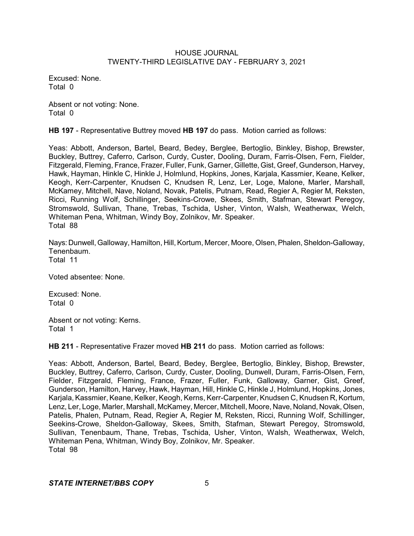Excused: None. Total 0

Absent or not voting: None. Total 0

**HB 197** - Representative Buttrey moved **HB 197** do pass. Motion carried as follows:

Yeas: Abbott, Anderson, Bartel, Beard, Bedey, Berglee, Bertoglio, Binkley, Bishop, Brewster, Buckley, Buttrey, Caferro, Carlson, Curdy, Custer, Dooling, Duram, Farris-Olsen, Fern, Fielder, Fitzgerald, Fleming, France, Frazer, Fuller, Funk, Garner, Gillette, Gist, Greef, Gunderson, Harvey, Hawk, Hayman, Hinkle C, Hinkle J, Holmlund, Hopkins, Jones, Karjala, Kassmier, Keane, Kelker, Keogh, Kerr-Carpenter, Knudsen C, Knudsen R, Lenz, Ler, Loge, Malone, Marler, Marshall, McKamey, Mitchell, Nave, Noland, Novak, Patelis, Putnam, Read, Regier A, Regier M, Reksten, Ricci, Running Wolf, Schillinger, Seekins-Crowe, Skees, Smith, Stafman, Stewart Peregoy, Stromswold, Sullivan, Thane, Trebas, Tschida, Usher, Vinton, Walsh, Weatherwax, Welch, Whiteman Pena, Whitman, Windy Boy, Zolnikov, Mr. Speaker. Total 88

Nays: Dunwell, Galloway, Hamilton, Hill, Kortum, Mercer, Moore, Olsen, Phalen, Sheldon-Galloway, Tenenbaum. Total 11

Voted absentee: None.

Excused: None. Total 0

Absent or not voting: Kerns. Total 1

**HB 211** - Representative Frazer moved **HB 211** do pass. Motion carried as follows:

Yeas: Abbott, Anderson, Bartel, Beard, Bedey, Berglee, Bertoglio, Binkley, Bishop, Brewster, Buckley, Buttrey, Caferro, Carlson, Curdy, Custer, Dooling, Dunwell, Duram, Farris-Olsen, Fern, Fielder, Fitzgerald, Fleming, France, Frazer, Fuller, Funk, Galloway, Garner, Gist, Greef, Gunderson, Hamilton, Harvey, Hawk, Hayman, Hill, Hinkle C, Hinkle J, Holmlund, Hopkins, Jones, Karjala, Kassmier, Keane, Kelker, Keogh, Kerns, Kerr-Carpenter, Knudsen C, Knudsen R, Kortum, Lenz, Ler, Loge, Marler, Marshall, McKamey, Mercer, Mitchell, Moore, Nave, Noland, Novak, Olsen, Patelis, Phalen, Putnam, Read, Regier A, Regier M, Reksten, Ricci, Running Wolf, Schillinger, Seekins-Crowe, Sheldon-Galloway, Skees, Smith, Stafman, Stewart Peregoy, Stromswold, Sullivan, Tenenbaum, Thane, Trebas, Tschida, Usher, Vinton, Walsh, Weatherwax, Welch, Whiteman Pena, Whitman, Windy Boy, Zolnikov, Mr. Speaker. Total 98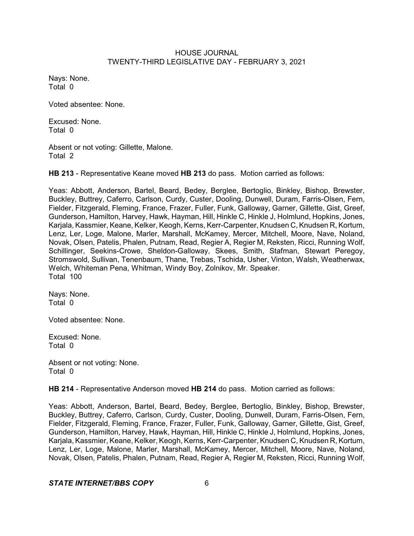Nays: None. Total 0

Voted absentee: None.

Excused: None. Total 0

Absent or not voting: Gillette, Malone. Total 2

**HB 213** - Representative Keane moved **HB 213** do pass. Motion carried as follows:

Yeas: Abbott, Anderson, Bartel, Beard, Bedey, Berglee, Bertoglio, Binkley, Bishop, Brewster, Buckley, Buttrey, Caferro, Carlson, Curdy, Custer, Dooling, Dunwell, Duram, Farris-Olsen, Fern, Fielder, Fitzgerald, Fleming, France, Frazer, Fuller, Funk, Galloway, Garner, Gillette, Gist, Greef, Gunderson, Hamilton, Harvey, Hawk, Hayman, Hill, Hinkle C, Hinkle J, Holmlund, Hopkins, Jones, Karjala, Kassmier, Keane, Kelker, Keogh, Kerns, Kerr-Carpenter, Knudsen C, Knudsen R, Kortum, Lenz, Ler, Loge, Malone, Marler, Marshall, McKamey, Mercer, Mitchell, Moore, Nave, Noland, Novak, Olsen, Patelis, Phalen, Putnam, Read, Regier A, Regier M, Reksten, Ricci, Running Wolf, Schillinger, Seekins-Crowe, Sheldon-Galloway, Skees, Smith, Stafman, Stewart Peregoy, Stromswold, Sullivan, Tenenbaum, Thane, Trebas, Tschida, Usher, Vinton, Walsh, Weatherwax, Welch, Whiteman Pena, Whitman, Windy Boy, Zolnikov, Mr. Speaker. Total 100

Nays: None. Total 0

Voted absentee: None.

Excused: None. Total 0

Absent or not voting: None. Total 0

**HB 214** - Representative Anderson moved **HB 214** do pass. Motion carried as follows:

Yeas: Abbott, Anderson, Bartel, Beard, Bedey, Berglee, Bertoglio, Binkley, Bishop, Brewster, Buckley, Buttrey, Caferro, Carlson, Curdy, Custer, Dooling, Dunwell, Duram, Farris-Olsen, Fern, Fielder, Fitzgerald, Fleming, France, Frazer, Fuller, Funk, Galloway, Garner, Gillette, Gist, Greef, Gunderson, Hamilton, Harvey, Hawk, Hayman, Hill, Hinkle C, Hinkle J, Holmlund, Hopkins, Jones, Karjala, Kassmier, Keane, Kelker, Keogh, Kerns, Kerr-Carpenter, Knudsen C, Knudsen R, Kortum, Lenz, Ler, Loge, Malone, Marler, Marshall, McKamey, Mercer, Mitchell, Moore, Nave, Noland, Novak, Olsen, Patelis, Phalen, Putnam, Read, Regier A, Regier M, Reksten, Ricci, Running Wolf,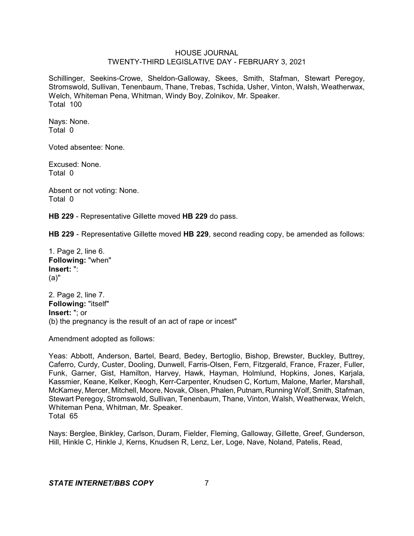Schillinger, Seekins-Crowe, Sheldon-Galloway, Skees, Smith, Stafman, Stewart Peregoy, Stromswold, Sullivan, Tenenbaum, Thane, Trebas, Tschida, Usher, Vinton, Walsh, Weatherwax, Welch, Whiteman Pena, Whitman, Windy Boy, Zolnikov, Mr. Speaker. Total 100

Nays: None. Total 0

Voted absentee: None.

Excused: None. Total 0

Absent or not voting: None. Total 0

**HB 229** - Representative Gillette moved **HB 229** do pass.

**HB 229** - Representative Gillette moved **HB 229**, second reading copy, be amended as follows:

1. Page 2, line 6. **Following:** "when" **Insert:** ": (a)"

2. Page 2, line 7. **Following:** "itself" **Insert:** "; or (b) the pregnancy is the result of an act of rape or incest"

Amendment adopted as follows:

Yeas: Abbott, Anderson, Bartel, Beard, Bedey, Bertoglio, Bishop, Brewster, Buckley, Buttrey, Caferro, Curdy, Custer, Dooling, Dunwell, Farris-Olsen, Fern, Fitzgerald, France, Frazer, Fuller, Funk, Garner, Gist, Hamilton, Harvey, Hawk, Hayman, Holmlund, Hopkins, Jones, Karjala, Kassmier, Keane, Kelker, Keogh, Kerr-Carpenter, Knudsen C, Kortum, Malone, Marler, Marshall, McKamey, Mercer, Mitchell, Moore, Novak, Olsen, Phalen, Putnam, Running Wolf, Smith, Stafman, Stewart Peregoy, Stromswold, Sullivan, Tenenbaum, Thane, Vinton, Walsh, Weatherwax, Welch, Whiteman Pena, Whitman, Mr. Speaker. Total 65

Nays: Berglee, Binkley, Carlson, Duram, Fielder, Fleming, Galloway, Gillette, Greef, Gunderson, Hill, Hinkle C, Hinkle J, Kerns, Knudsen R, Lenz, Ler, Loge, Nave, Noland, Patelis, Read,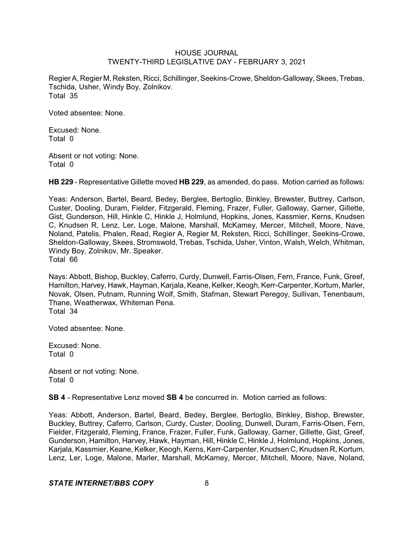Regier A, Regier M, Reksten, Ricci, Schillinger, Seekins-Crowe, Sheldon-Galloway, Skees, Trebas, Tschida, Usher, Windy Boy, Zolnikov. Total 35

Voted absentee: None.

Excused: None. Total 0

Absent or not voting: None. Total 0

**HB 229** - Representative Gillette moved **HB 229**, as amended, do pass. Motion carried as follows:

Yeas: Anderson, Bartel, Beard, Bedey, Berglee, Bertoglio, Binkley, Brewster, Buttrey, Carlson, Custer, Dooling, Duram, Fielder, Fitzgerald, Fleming, Frazer, Fuller, Galloway, Garner, Gillette, Gist, Gunderson, Hill, Hinkle C, Hinkle J, Holmlund, Hopkins, Jones, Kassmier, Kerns, Knudsen C, Knudsen R, Lenz, Ler, Loge, Malone, Marshall, McKamey, Mercer, Mitchell, Moore, Nave, Noland, Patelis, Phalen, Read, Regier A, Regier M, Reksten, Ricci, Schillinger, Seekins-Crowe, Sheldon-Galloway, Skees, Stromswold, Trebas, Tschida, Usher, Vinton, Walsh, Welch, Whitman, Windy Boy, Zolnikov, Mr. Speaker. Total 66

Nays: Abbott, Bishop, Buckley, Caferro, Curdy, Dunwell, Farris-Olsen, Fern, France, Funk, Greef, Hamilton, Harvey, Hawk, Hayman, Karjala, Keane, Kelker, Keogh, Kerr-Carpenter, Kortum, Marler, Novak, Olsen, Putnam, Running Wolf, Smith, Stafman, Stewart Peregoy, Sullivan, Tenenbaum, Thane, Weatherwax, Whiteman Pena. Total 34

Voted absentee: None.

Excused: None. Total 0

Absent or not voting: None. Total 0

**SB 4** - Representative Lenz moved **SB 4** be concurred in. Motion carried as follows:

Yeas: Abbott, Anderson, Bartel, Beard, Bedey, Berglee, Bertoglio, Binkley, Bishop, Brewster, Buckley, Buttrey, Caferro, Carlson, Curdy, Custer, Dooling, Dunwell, Duram, Farris-Olsen, Fern, Fielder, Fitzgerald, Fleming, France, Frazer, Fuller, Funk, Galloway, Garner, Gillette, Gist, Greef, Gunderson, Hamilton, Harvey, Hawk, Hayman, Hill, Hinkle C, Hinkle J, Holmlund, Hopkins, Jones, Karjala, Kassmier, Keane, Kelker, Keogh,Kerns, Kerr-Carpenter, Knudsen C, Knudsen R, Kortum, Lenz, Ler, Loge, Malone, Marler, Marshall, McKamey, Mercer, Mitchell, Moore, Nave, Noland,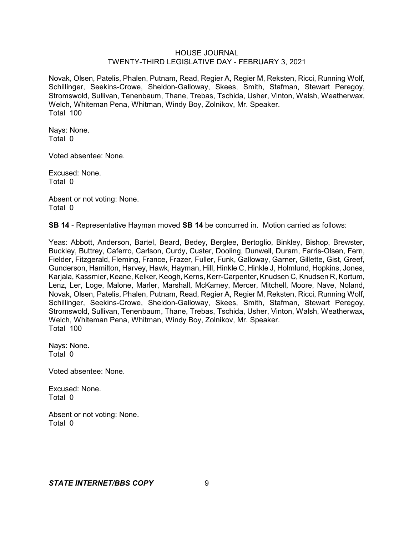Novak, Olsen, Patelis, Phalen, Putnam, Read, Regier A, Regier M, Reksten, Ricci, Running Wolf, Schillinger, Seekins-Crowe, Sheldon-Galloway, Skees, Smith, Stafman, Stewart Peregoy, Stromswold, Sullivan, Tenenbaum, Thane, Trebas, Tschida, Usher, Vinton, Walsh, Weatherwax, Welch, Whiteman Pena, Whitman, Windy Boy, Zolnikov, Mr. Speaker. Total 100

Nays: None. Total 0

Voted absentee: None.

Excused: None. Total 0

Absent or not voting: None. Total 0

**SB 14** - Representative Hayman moved **SB 14** be concurred in. Motion carried as follows:

Yeas: Abbott, Anderson, Bartel, Beard, Bedey, Berglee, Bertoglio, Binkley, Bishop, Brewster, Buckley, Buttrey, Caferro, Carlson, Curdy, Custer, Dooling, Dunwell, Duram, Farris-Olsen, Fern, Fielder, Fitzgerald, Fleming, France, Frazer, Fuller, Funk, Galloway, Garner, Gillette, Gist, Greef, Gunderson, Hamilton, Harvey, Hawk, Hayman, Hill, Hinkle C, Hinkle J, Holmlund, Hopkins, Jones, Karjala, Kassmier, Keane, Kelker, Keogh, Kerns, Kerr-Carpenter, Knudsen C, Knudsen R, Kortum, Lenz, Ler, Loge, Malone, Marler, Marshall, McKamey, Mercer, Mitchell, Moore, Nave, Noland, Novak, Olsen, Patelis, Phalen, Putnam, Read, Regier A, Regier M, Reksten, Ricci, Running Wolf, Schillinger, Seekins-Crowe, Sheldon-Galloway, Skees, Smith, Stafman, Stewart Peregoy, Stromswold, Sullivan, Tenenbaum, Thane, Trebas, Tschida, Usher, Vinton, Walsh, Weatherwax, Welch, Whiteman Pena, Whitman, Windy Boy, Zolnikov, Mr. Speaker. Total 100

Nays: None. Total 0

Voted absentee: None.

Excused: None. Total 0

Absent or not voting: None. Total 0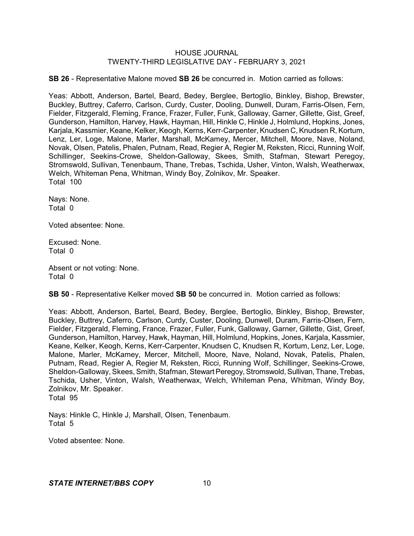**SB 26** - Representative Malone moved **SB 26** be concurred in. Motion carried as follows:

Yeas: Abbott, Anderson, Bartel, Beard, Bedey, Berglee, Bertoglio, Binkley, Bishop, Brewster, Buckley, Buttrey, Caferro, Carlson, Curdy, Custer, Dooling, Dunwell, Duram, Farris-Olsen, Fern, Fielder, Fitzgerald, Fleming, France, Frazer, Fuller, Funk, Galloway, Garner, Gillette, Gist, Greef, Gunderson, Hamilton, Harvey, Hawk, Hayman, Hill, Hinkle C, Hinkle J, Holmlund, Hopkins, Jones, Karjala, Kassmier, Keane, Kelker, Keogh, Kerns, Kerr-Carpenter, Knudsen C, Knudsen R, Kortum, Lenz, Ler, Loge, Malone, Marler, Marshall, McKamey, Mercer, Mitchell, Moore, Nave, Noland, Novak, Olsen, Patelis, Phalen, Putnam, Read, Regier A, Regier M, Reksten, Ricci, Running Wolf, Schillinger, Seekins-Crowe, Sheldon-Galloway, Skees, Smith, Stafman, Stewart Peregoy, Stromswold, Sullivan, Tenenbaum, Thane, Trebas, Tschida, Usher, Vinton, Walsh, Weatherwax, Welch, Whiteman Pena, Whitman, Windy Boy, Zolnikov, Mr. Speaker. Total 100

Nays: None. Total 0

Voted absentee: None.

Excused: None. Total 0

Absent or not voting: None. Total 0

**SB 50** - Representative Kelker moved **SB 50** be concurred in. Motion carried as follows:

Yeas: Abbott, Anderson, Bartel, Beard, Bedey, Berglee, Bertoglio, Binkley, Bishop, Brewster, Buckley, Buttrey, Caferro, Carlson, Curdy, Custer, Dooling, Dunwell, Duram, Farris-Olsen, Fern, Fielder, Fitzgerald, Fleming, France, Frazer, Fuller, Funk, Galloway, Garner, Gillette, Gist, Greef, Gunderson, Hamilton, Harvey, Hawk, Hayman, Hill, Holmlund, Hopkins, Jones, Karjala, Kassmier, Keane, Kelker, Keogh, Kerns, Kerr-Carpenter, Knudsen C, Knudsen R, Kortum, Lenz, Ler, Loge, Malone, Marler, McKamey, Mercer, Mitchell, Moore, Nave, Noland, Novak, Patelis, Phalen, Putnam, Read, Regier A, Regier M, Reksten, Ricci, Running Wolf, Schillinger, Seekins-Crowe, Sheldon-Galloway, Skees, Smith, Stafman, Stewart Peregoy, Stromswold, Sullivan, Thane, Trebas, Tschida, Usher, Vinton, Walsh, Weatherwax, Welch, Whiteman Pena, Whitman, Windy Boy, Zolnikov, Mr. Speaker. Total 95

Nays: Hinkle C, Hinkle J, Marshall, Olsen, Tenenbaum. Total 5

Voted absentee: None.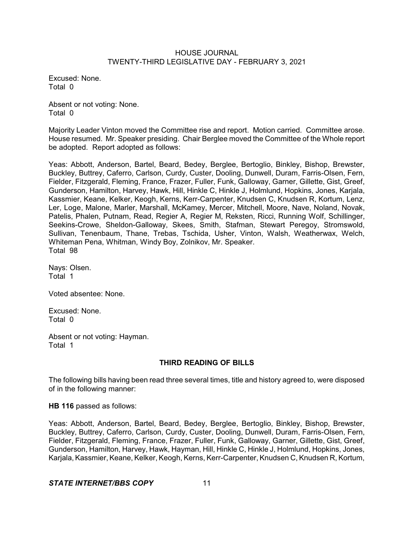Excused: None. Total 0

Absent or not voting: None. Total 0

Majority Leader Vinton moved the Committee rise and report. Motion carried. Committee arose. House resumed. Mr. Speaker presiding. Chair Berglee moved the Committee of the Whole report be adopted. Report adopted as follows:

Yeas: Abbott, Anderson, Bartel, Beard, Bedey, Berglee, Bertoglio, Binkley, Bishop, Brewster, Buckley, Buttrey, Caferro, Carlson, Curdy, Custer, Dooling, Dunwell, Duram, Farris-Olsen, Fern, Fielder, Fitzgerald, Fleming, France, Frazer, Fuller, Funk, Galloway, Garner, Gillette, Gist, Greef, Gunderson, Hamilton, Harvey, Hawk, Hill, Hinkle C, Hinkle J, Holmlund, Hopkins, Jones, Karjala, Kassmier, Keane, Kelker, Keogh, Kerns, Kerr-Carpenter, Knudsen C, Knudsen R, Kortum, Lenz, Ler, Loge, Malone, Marler, Marshall, McKamey, Mercer, Mitchell, Moore, Nave, Noland, Novak, Patelis, Phalen, Putnam, Read, Regier A, Regier M, Reksten, Ricci, Running Wolf, Schillinger, Seekins-Crowe, Sheldon-Galloway, Skees, Smith, Stafman, Stewart Peregoy, Stromswold, Sullivan, Tenenbaum, Thane, Trebas, Tschida, Usher, Vinton, Walsh, Weatherwax, Welch, Whiteman Pena, Whitman, Windy Boy, Zolnikov, Mr. Speaker. Total 98

Nays: Olsen. Total 1

Voted absentee: None.

Excused: None. Total 0

Absent or not voting: Hayman. Total 1

# **THIRD READING OF BILLS**

The following bills having been read three several times, title and history agreed to, were disposed of in the following manner:

**HB 116** passed as follows:

Yeas: Abbott, Anderson, Bartel, Beard, Bedey, Berglee, Bertoglio, Binkley, Bishop, Brewster, Buckley, Buttrey, Caferro, Carlson, Curdy, Custer, Dooling, Dunwell, Duram, Farris-Olsen, Fern, Fielder, Fitzgerald, Fleming, France, Frazer, Fuller, Funk, Galloway, Garner, Gillette, Gist, Greef, Gunderson, Hamilton, Harvey, Hawk, Hayman, Hill, Hinkle C, Hinkle J, Holmlund, Hopkins, Jones, Karjala, Kassmier, Keane, Kelker, Keogh, Kerns, Kerr-Carpenter, Knudsen C, Knudsen R, Kortum,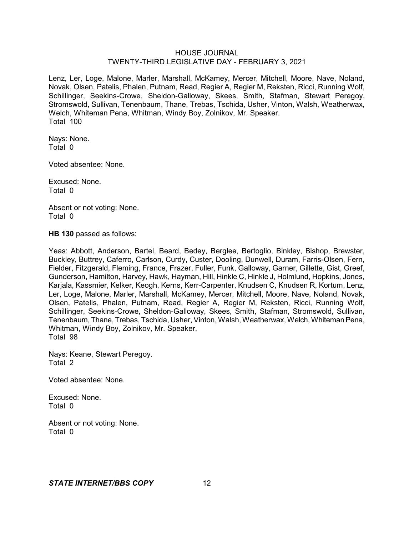Lenz, Ler, Loge, Malone, Marler, Marshall, McKamey, Mercer, Mitchell, Moore, Nave, Noland, Novak, Olsen, Patelis, Phalen, Putnam, Read, Regier A, Regier M, Reksten, Ricci, Running Wolf, Schillinger, Seekins-Crowe, Sheldon-Galloway, Skees, Smith, Stafman, Stewart Peregoy, Stromswold, Sullivan, Tenenbaum, Thane, Trebas, Tschida, Usher, Vinton, Walsh, Weatherwax, Welch, Whiteman Pena, Whitman, Windy Boy, Zolnikov, Mr. Speaker. Total 100

Nays: None. Total 0

Voted absentee: None.

Excused: None. Total 0

Absent or not voting: None. Total 0

**HB 130** passed as follows:

Yeas: Abbott, Anderson, Bartel, Beard, Bedey, Berglee, Bertoglio, Binkley, Bishop, Brewster, Buckley, Buttrey, Caferro, Carlson, Curdy, Custer, Dooling, Dunwell, Duram, Farris-Olsen, Fern, Fielder, Fitzgerald, Fleming, France, Frazer, Fuller, Funk, Galloway, Garner, Gillette, Gist, Greef, Gunderson, Hamilton, Harvey, Hawk, Hayman, Hill, Hinkle C, Hinkle J, Holmlund, Hopkins, Jones, Karjala, Kassmier, Kelker, Keogh, Kerns, Kerr-Carpenter, Knudsen C, Knudsen R, Kortum, Lenz, Ler, Loge, Malone, Marler, Marshall, McKamey, Mercer, Mitchell, Moore, Nave, Noland, Novak, Olsen, Patelis, Phalen, Putnam, Read, Regier A, Regier M, Reksten, Ricci, Running Wolf, Schillinger, Seekins-Crowe, Sheldon-Galloway, Skees, Smith, Stafman, Stromswold, Sullivan, Tenenbaum, Thane, Trebas, Tschida, Usher, Vinton, Walsh, Weatherwax, Welch, WhitemanPena, Whitman, Windy Boy, Zolnikov, Mr. Speaker. Total 98

Nays: Keane, Stewart Peregoy. Total 2

Voted absentee: None.

Excused: None. Total 0

Absent or not voting: None. Total 0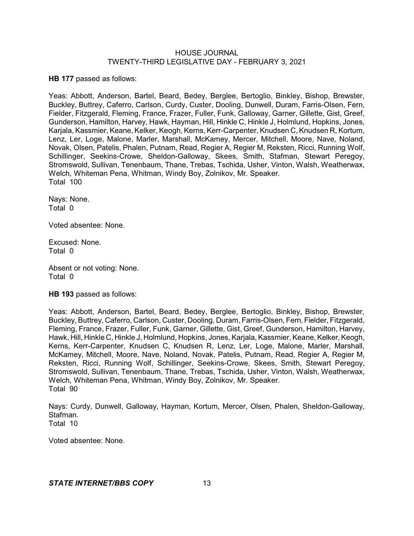**HB 177** passed as follows:

Yeas: Abbott, Anderson, Bartel, Beard, Bedey, Berglee, Bertoglio, Binkley, Bishop, Brewster, Buckley, Buttrey, Caferro, Carlson, Curdy, Custer, Dooling, Dunwell, Duram, Farris-Olsen, Fern, Fielder, Fitzgerald, Fleming, France, Frazer, Fuller, Funk, Galloway, Garner, Gillette, Gist, Greef, Gunderson, Hamilton, Harvey, Hawk, Hayman, Hill, Hinkle C, Hinkle J, Holmlund, Hopkins, Jones, Karjala, Kassmier, Keane, Kelker, Keogh, Kerns, Kerr-Carpenter, Knudsen C, Knudsen R, Kortum, Lenz, Ler, Loge, Malone, Marler, Marshall, McKamey, Mercer, Mitchell, Moore, Nave, Noland, Novak, Olsen, Patelis, Phalen, Putnam, Read, Regier A, Regier M, Reksten, Ricci, Running Wolf, Schillinger, Seekins-Crowe, Sheldon-Galloway, Skees, Smith, Stafman, Stewart Peregoy, Stromswold, Sullivan, Tenenbaum, Thane, Trebas, Tschida, Usher, Vinton, Walsh, Weatherwax, Welch, Whiteman Pena, Whitman, Windy Boy, Zolnikov, Mr. Speaker. Total 100

Nays: None. Total 0

Voted absentee: None.

Excused: None. Total 0

Absent or not voting: None. Total 0

**HB 193** passed as follows:

Yeas: Abbott, Anderson, Bartel, Beard, Bedey, Berglee, Bertoglio, Binkley, Bishop, Brewster, Buckley, Buttrey, Caferro, Carlson, Custer, Dooling, Duram, Farris-Olsen, Fern, Fielder, Fitzgerald, Fleming, France, Frazer, Fuller, Funk, Garner, Gillette, Gist, Greef, Gunderson, Hamilton, Harvey, Hawk, Hill, Hinkle C, Hinkle J, Holmlund, Hopkins, Jones, Karjala, Kassmier, Keane, Kelker, Keogh, Kerns, Kerr-Carpenter, Knudsen C, Knudsen R, Lenz, Ler, Loge, Malone, Marler, Marshall, McKamey, Mitchell, Moore, Nave, Noland, Novak, Patelis, Putnam, Read, Regier A, Regier M, Reksten, Ricci, Running Wolf, Schillinger, Seekins-Crowe, Skees, Smith, Stewart Peregoy, Stromswold, Sullivan, Tenenbaum, Thane, Trebas, Tschida, Usher, Vinton, Walsh, Weatherwax, Welch, Whiteman Pena, Whitman, Windy Boy, Zolnikov, Mr. Speaker. Total 90

Nays: Curdy, Dunwell, Galloway, Hayman, Kortum, Mercer, Olsen, Phalen, Sheldon-Galloway, Stafman. Total 10

Voted absentee: None.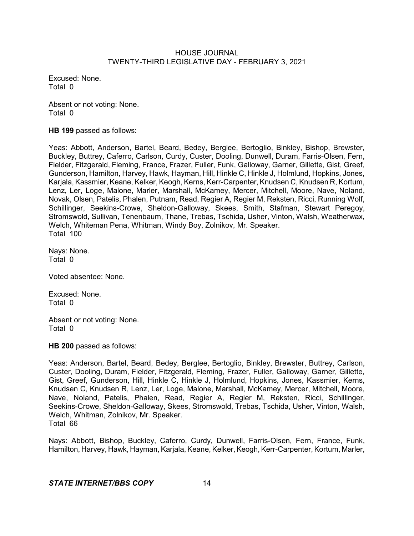Excused: None. Total 0

Absent or not voting: None. Total 0

**HB 199** passed as follows:

Yeas: Abbott, Anderson, Bartel, Beard, Bedey, Berglee, Bertoglio, Binkley, Bishop, Brewster, Buckley, Buttrey, Caferro, Carlson, Curdy, Custer, Dooling, Dunwell, Duram, Farris-Olsen, Fern, Fielder, Fitzgerald, Fleming, France, Frazer, Fuller, Funk, Galloway, Garner, Gillette, Gist, Greef, Gunderson, Hamilton, Harvey, Hawk, Hayman, Hill, Hinkle C, Hinkle J, Holmlund, Hopkins, Jones, Karjala, Kassmier, Keane, Kelker, Keogh, Kerns, Kerr-Carpenter, Knudsen C, Knudsen R, Kortum, Lenz, Ler, Loge, Malone, Marler, Marshall, McKamey, Mercer, Mitchell, Moore, Nave, Noland, Novak, Olsen, Patelis, Phalen, Putnam, Read, Regier A, Regier M, Reksten, Ricci, Running Wolf, Schillinger, Seekins-Crowe, Sheldon-Galloway, Skees, Smith, Stafman, Stewart Peregoy, Stromswold, Sullivan, Tenenbaum, Thane, Trebas, Tschida, Usher, Vinton, Walsh, Weatherwax, Welch, Whiteman Pena, Whitman, Windy Boy, Zolnikov, Mr. Speaker. Total 100

Nays: None. Total 0

Voted absentee: None.

Excused: None. Total 0

Absent or not voting: None. Total 0

**HB 200** passed as follows:

Yeas: Anderson, Bartel, Beard, Bedey, Berglee, Bertoglio, Binkley, Brewster, Buttrey, Carlson, Custer, Dooling, Duram, Fielder, Fitzgerald, Fleming, Frazer, Fuller, Galloway, Garner, Gillette, Gist, Greef, Gunderson, Hill, Hinkle C, Hinkle J, Holmlund, Hopkins, Jones, Kassmier, Kerns, Knudsen C, Knudsen R, Lenz, Ler, Loge, Malone, Marshall, McKamey, Mercer, Mitchell, Moore, Nave, Noland, Patelis, Phalen, Read, Regier A, Regier M, Reksten, Ricci, Schillinger, Seekins-Crowe, Sheldon-Galloway, Skees, Stromswold, Trebas, Tschida, Usher, Vinton, Walsh, Welch, Whitman, Zolnikov, Mr. Speaker. Total 66

Nays: Abbott, Bishop, Buckley, Caferro, Curdy, Dunwell, Farris-Olsen, Fern, France, Funk, Hamilton, Harvey, Hawk, Hayman, Karjala, Keane, Kelker, Keogh, Kerr-Carpenter, Kortum, Marler,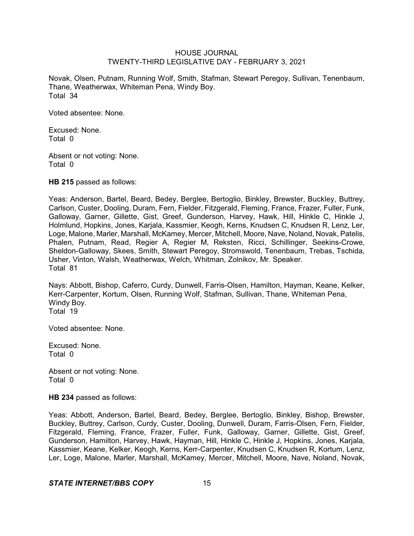Novak, Olsen, Putnam, Running Wolf, Smith, Stafman, Stewart Peregoy, Sullivan, Tenenbaum, Thane, Weatherwax, Whiteman Pena, Windy Boy. Total 34

Voted absentee: None.

Excused: None. Total 0

Absent or not voting: None. Total 0

**HB 215** passed as follows:

Yeas: Anderson, Bartel, Beard, Bedey, Berglee, Bertoglio, Binkley, Brewster, Buckley, Buttrey, Carlson, Custer, Dooling, Duram, Fern, Fielder, Fitzgerald, Fleming, France, Frazer, Fuller, Funk, Galloway, Garner, Gillette, Gist, Greef, Gunderson, Harvey, Hawk, Hill, Hinkle C, Hinkle J, Holmlund, Hopkins, Jones, Karjala, Kassmier, Keogh, Kerns, Knudsen C, Knudsen R, Lenz, Ler, Loge, Malone, Marler, Marshall, McKamey, Mercer, Mitchell, Moore, Nave, Noland, Novak, Patelis, Phalen, Putnam, Read, Regier A, Regier M, Reksten, Ricci, Schillinger, Seekins-Crowe, Sheldon-Galloway, Skees, Smith, Stewart Peregoy, Stromswold, Tenenbaum, Trebas, Tschida, Usher, Vinton, Walsh, Weatherwax, Welch, Whitman, Zolnikov, Mr. Speaker. Total 81

Nays: Abbott, Bishop, Caferro, Curdy, Dunwell, Farris-Olsen, Hamilton, Hayman, Keane, Kelker, Kerr-Carpenter, Kortum, Olsen, Running Wolf, Stafman, Sullivan, Thane, Whiteman Pena, Windy Boy. Total 19

Voted absentee: None.

Excused: None. Total 0

Absent or not voting: None. Total 0

#### **HB 234** passed as follows:

Yeas: Abbott, Anderson, Bartel, Beard, Bedey, Berglee, Bertoglio, Binkley, Bishop, Brewster, Buckley, Buttrey, Carlson, Curdy, Custer, Dooling, Dunwell, Duram, Farris-Olsen, Fern, Fielder, Fitzgerald, Fleming, France, Frazer, Fuller, Funk, Galloway, Garner, Gillette, Gist, Greef, Gunderson, Hamilton, Harvey, Hawk, Hayman, Hill, Hinkle C, Hinkle J, Hopkins, Jones, Karjala, Kassmier, Keane, Kelker, Keogh, Kerns, Kerr-Carpenter, Knudsen C, Knudsen R, Kortum, Lenz, Ler, Loge, Malone, Marler, Marshall, McKamey, Mercer, Mitchell, Moore, Nave, Noland, Novak,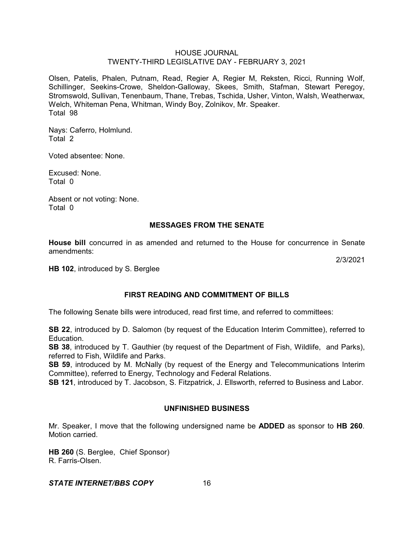Olsen, Patelis, Phalen, Putnam, Read, Regier A, Regier M, Reksten, Ricci, Running Wolf, Schillinger, Seekins-Crowe, Sheldon-Galloway, Skees, Smith, Stafman, Stewart Peregoy, Stromswold, Sullivan, Tenenbaum, Thane, Trebas, Tschida, Usher, Vinton, Walsh, Weatherwax, Welch, Whiteman Pena, Whitman, Windy Boy, Zolnikov, Mr. Speaker. Total 98

Nays: Caferro, Holmlund. Total 2

Voted absentee: None.

Excused: None. Total 0

Absent or not voting: None. Total 0

# **MESSAGES FROM THE SENATE**

**House bill** concurred in as amended and returned to the House for concurrence in Senate amendments:

2/3/2021

**HB 102**, introduced by S. Berglee

# **FIRST READING AND COMMITMENT OF BILLS**

The following Senate bills were introduced, read first time, and referred to committees:

**SB 22**, introduced by D. Salomon (by request of the Education Interim Committee), referred to Education.

**SB 38**, introduced by T. Gauthier (by request of the Department of Fish, Wildlife, and Parks), referred to Fish, Wildlife and Parks.

**SB 59**, introduced by M. McNally (by request of the Energy and Telecommunications Interim Committee), referred to Energy, Technology and Federal Relations.

**SB 121**, introduced by T. Jacobson, S. Fitzpatrick, J. Ellsworth, referred to Business and Labor.

# **UNFINISHED BUSINESS**

Mr. Speaker, I move that the following undersigned name be **ADDED** as sponsor to **HB 260**. Motion carried.

**HB 260** (S. Berglee, Chief Sponsor) R. Farris-Olsen.